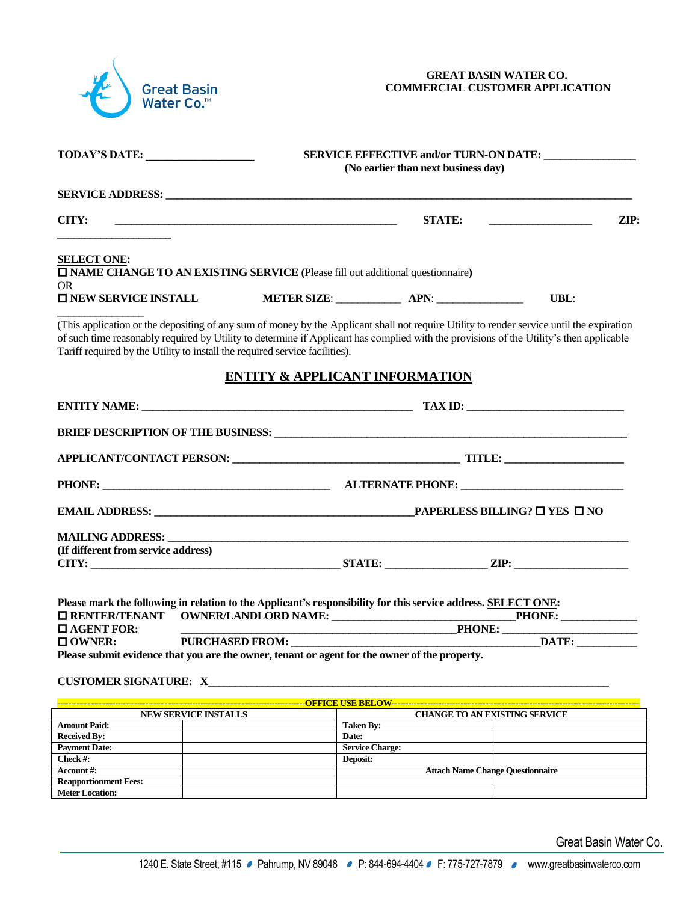

## **GREAT BASIN WATER CO. COMMERCIAL CUSTOMER APPLICATION**

| <b>TODAY'S DATE:</b>                                                        | SERVICE EFFECTIVE and/or TURN-ON DATE:<br>(No earlier than next business day)                                                                                                                                                                                                                                                                                                                                                                                                               |               |                                                                                                                                                                                                                   |  |  |
|-----------------------------------------------------------------------------|---------------------------------------------------------------------------------------------------------------------------------------------------------------------------------------------------------------------------------------------------------------------------------------------------------------------------------------------------------------------------------------------------------------------------------------------------------------------------------------------|---------------|-------------------------------------------------------------------------------------------------------------------------------------------------------------------------------------------------------------------|--|--|
|                                                                             |                                                                                                                                                                                                                                                                                                                                                                                                                                                                                             |               |                                                                                                                                                                                                                   |  |  |
| CITY:                                                                       | <b>STATE:</b><br>$\mathbf{ZIP:}$<br><u> 1989 - Johann Barbara, martin amerikan basar dan basa dan basa dan basa dan basa dan basa dan basa dan basa</u>                                                                                                                                                                                                                                                                                                                                     |               |                                                                                                                                                                                                                   |  |  |
| <b>SELECT ONE:</b><br><b>OR</b>                                             | <b>IN AME CHANGE TO AN EXISTING SERVICE</b> (Please fill out additional questionnaire)                                                                                                                                                                                                                                                                                                                                                                                                      |               |                                                                                                                                                                                                                   |  |  |
| <b>O NEW SERVICE INSTALL</b>                                                | METER SIZE: <b>APN:</b>                                                                                                                                                                                                                                                                                                                                                                                                                                                                     |               | <b>UBL:</b>                                                                                                                                                                                                       |  |  |
| Tariff required by the Utility to install the required service facilities). | (This application or the depositing of any sum of money by the Applicant shall not require Utility to render service until the expiration<br>of such time reasonably required by Utility to determine if Applicant has complied with the provisions of the Utility's then applicable                                                                                                                                                                                                        |               |                                                                                                                                                                                                                   |  |  |
|                                                                             | <b>ENTITY &amp; APPLICANT INFORMATION</b>                                                                                                                                                                                                                                                                                                                                                                                                                                                   |               |                                                                                                                                                                                                                   |  |  |
|                                                                             | $\boxed{\text{TAX ID:}}\qquad \qquad \qquad \qquad \text{TAX ID:}}\qquad \qquad \qquad \text{TAX ID:}}\qquad \qquad \text{TAX ID:}}\qquad \qquad \text{TAX ID:}}\qquad \qquad \text{TAX ID:}}\qquad \qquad \text{TAX ID:}}\qquad \qquad \text{TAX ID:}}\qquad \qquad \text{TAX ID:}}\qquad \qquad \text{TAX ID:}}\qquad \qquad \text{TAX ID:}}\qquad \qquad \text{Analytic} \qquad \text{Analytic} \qquad \text{Analytic} \qquad \text{Analytic} \qquad \text{Analytic} \qquad \text{Analy$ |               |                                                                                                                                                                                                                   |  |  |
|                                                                             | <b>BRIEF DESCRIPTION OF THE BUSINESS: WE ARE ALSO ASSESSED ASSESSED ASSOCIATE</b>                                                                                                                                                                                                                                                                                                                                                                                                           |               |                                                                                                                                                                                                                   |  |  |
|                                                                             |                                                                                                                                                                                                                                                                                                                                                                                                                                                                                             |               |                                                                                                                                                                                                                   |  |  |
|                                                                             |                                                                                                                                                                                                                                                                                                                                                                                                                                                                                             |               |                                                                                                                                                                                                                   |  |  |
|                                                                             |                                                                                                                                                                                                                                                                                                                                                                                                                                                                                             |               |                                                                                                                                                                                                                   |  |  |
|                                                                             |                                                                                                                                                                                                                                                                                                                                                                                                                                                                                             |               |                                                                                                                                                                                                                   |  |  |
| (If different from service address)                                         |                                                                                                                                                                                                                                                                                                                                                                                                                                                                                             |               |                                                                                                                                                                                                                   |  |  |
|                                                                             |                                                                                                                                                                                                                                                                                                                                                                                                                                                                                             |               |                                                                                                                                                                                                                   |  |  |
|                                                                             | Please mark the following in relation to the Applicant's responsibility for this service address. SELECT ONE:                                                                                                                                                                                                                                                                                                                                                                               |               |                                                                                                                                                                                                                   |  |  |
| <b>O AGENT FOR:</b>                                                         |                                                                                                                                                                                                                                                                                                                                                                                                                                                                                             | <b>PHONE:</b> |                                                                                                                                                                                                                   |  |  |
| $\square$ OWNER:                                                            | PURCHASED FROM: _________                                                                                                                                                                                                                                                                                                                                                                                                                                                                   |               | $\blacksquare$ $\blacksquare$ $\blacksquare$ $\blacksquare$ $\blacksquare$ $\blacksquare$ $\blacksquare$ $\blacksquare$ $\blacksquare$ $\blacksquare$ $\blacksquare$ $\blacksquare$ $\blacksquare$ $\blacksquare$ |  |  |
|                                                                             | Please submit evidence that you are the owner, tenant or agent for the owner of the property.                                                                                                                                                                                                                                                                                                                                                                                               |               |                                                                                                                                                                                                                   |  |  |
|                                                                             | <b>CUSTOMER SIGNATURE:</b> X                                                                                                                                                                                                                                                                                                                                                                                                                                                                |               |                                                                                                                                                                                                                   |  |  |
|                                                                             | $\alpha$ where $\alpha$ is a violent in which $\alpha$ via $\alpha$                                                                                                                                                                                                                                                                                                                                                                                                                         |               |                                                                                                                                                                                                                   |  |  |

| --OFFICE USE BELOW--         |  |                                         |  |  |  |  |  |
|------------------------------|--|-----------------------------------------|--|--|--|--|--|
| <b>NEW SERVICE INSTALLS</b>  |  | <b>CHANGE TO AN EXISTING SERVICE</b>    |  |  |  |  |  |
| <b>Amount Paid:</b>          |  | <b>Taken By:</b>                        |  |  |  |  |  |
| <b>Received By:</b>          |  | Date:                                   |  |  |  |  |  |
| <b>Payment Date:</b>         |  | <b>Service Charge:</b>                  |  |  |  |  |  |
| Check $#$ :                  |  | Deposit:                                |  |  |  |  |  |
| Account#:                    |  | <b>Attach Name Change Questionnaire</b> |  |  |  |  |  |
| <b>Reapportionment Fees:</b> |  |                                         |  |  |  |  |  |
| <b>Meter Location:</b>       |  |                                         |  |  |  |  |  |

Great Basin Water Co.